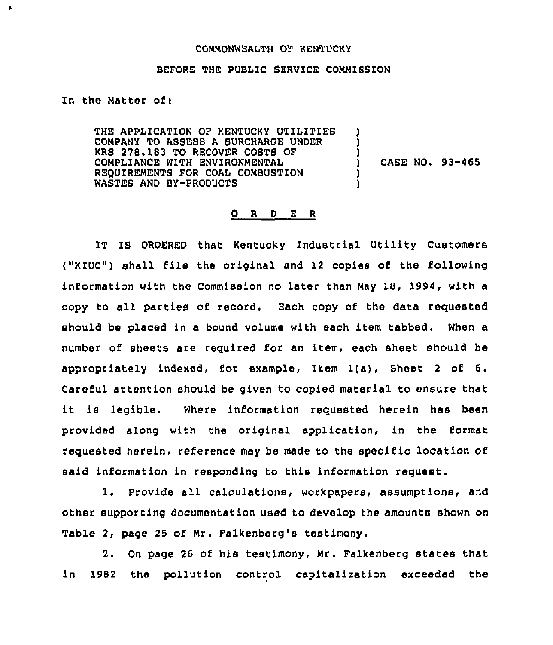## COMMONWEALTH OF KENTUCKY

## BEFORE THE PUBLIC SERVICE COMMISSION

In the Matter of $<sub>1</sub>$ </sub>

 $\pmb{\delta}$ 

THE APPLICATION OF KENTUCKY UTILITIES COMPANY TO ASSESS <sup>A</sup> SURCHARGE UNDER KRS 278. 183 TO RECOVER COSTS OF COMPLIANCE WITH ENVIRONMENTAL REOUIREMENTS FOR COAL COMBUSTION WASTES AND BY-PRODUCTS ) ) ) ) CASE NO. 93-465 ) )

## 0 <sup>R</sup> <sup>D</sup> E <sup>R</sup>

IT IS ORDERED that Kentucky Industrial Utility Customers ("KIUC") shell file the original and <sup>12</sup> copies of the following information with the Commission no later than May 18, 1994, with a copy to all parties of record. Each copy of the data requested should be placed in a bound volume with each item tabbed. When a number of sheets are required for an item, each sheet should be appropriately indexed, for example, Item  $l(a)$ , Sheet 2 of 6. Careful attention should be given to copied material to ensure that it is legible. Where information requested herein has been provided along with the original application, in the format requested herein, reference may be made to the specific location of said information in responding to this information request.

1. Provide all calculations, workpapers, assumptions, and other supporting documentation used to develop the amounts shown on Table 2, page 25 of Mr. Falkenberg's testimony.

2. On page 26 of his testimony, Mr. Falkenberg states that in 1982 the pollution control capita1ization exceeded the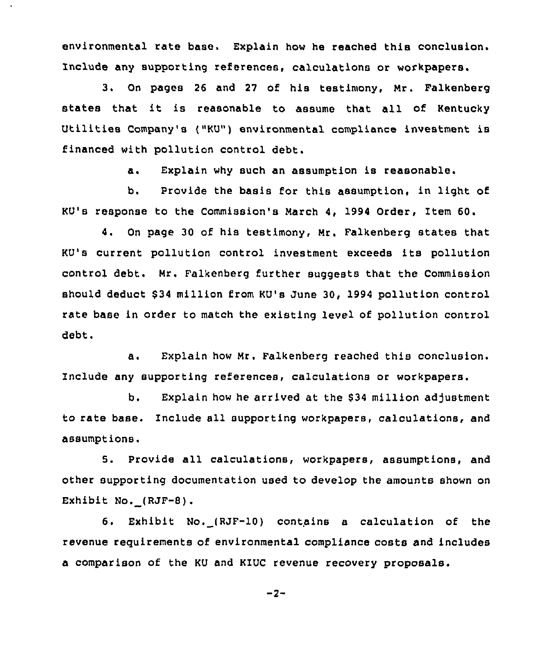environmental rate base. Explain how he reached this conclusion. Include any supporting references, calculations or workpapers.

3. On pages <sup>26</sup> and <sup>27</sup> of his testimony, Mr. Falkenberg states that it is reasonable to assume that all of Kentucky Utilities Company's ("KU") environmental compliance investment is financed with pollution control debt.

a. Explain why such an assumption is reasonable.

b. Provide the basis for this assumption, in light of KU's response to the Commission's March 4, 1994 Order, Item 60.

4. On page 30 of his testimony, Mr. Falkenberg states that KV's current pollution control investment exceeds its pollution control debt. Mr. Falkenberg further suggests that the Commission should deduct \$ 34 million from KU's June 30, 1994 pollution control rate base in order to match the existing level of pollution control debt.

a. Explain how Mr. Falkenberg reached this conclusion. Include any supporting references, calculations or workpapers,

b. Explain how he arrived at the \$34 million adjustment to rate base. Include all supporting workpapers, calculations, and assumptions.

5. Provide all calculations, workpapers, assumptions, and other supporting documentation used to develop the amounts shown on Exhibit No. (RJF-8).

6. Exhibit No. (RJF-10) contains a calculation of the revenue requirements of environmental compliance costs and includes a comparison of the KU and KIUC revenue recovery proposals.

$$
-2-
$$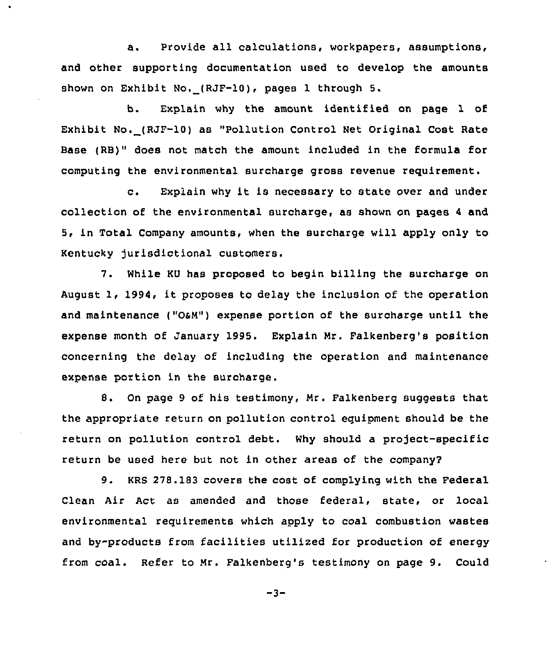a. Provide all calculations, workpapers, assumptions, and other supporting documentation used to develop the amounts shown on Exhibit No, (RJF-10), pages 1 through 5.

b. Explain why the amount identified on page 1 of Exhibit No. (RJF-10) as "Pollution Control Net Original Cost Rate Base (RB)" does not match the amount included in the formula for computing the environmental surcharge gross revenue requirement.

c. Explain why it is necessary to state over and under collection of the environmental surcharge, as shown on pages <sup>4</sup> and 5, in Total Company amounts, when the surcharge will apply only to Kentucky jurisdictional customers.

7. While KU has proposed to begin billing the surcharge on August 1, 1994, it proposes to delay the inclusion of the operation and maintenance ("OaM") expense portion of the surcharge until the expense month of January 1995. Explain Mr. Falkenberg's position concerning the delay of including the operation and maintenance expense portion in the surcharge.

8. On page <sup>9</sup> of his testimony, Mr. Falkenberg suggests that the appropriate return on pollution control equipment should be the return on pollution control debt. Why should a project-specific return be used here but not in other areas of the company2

9. KRS 278.183 covers the cost of complying with the Federal Clean Air Act as amended and those federal, state, or local environmental requirements which apply to coal combustion wastes and by-products from facilities utilized for production of energy from coal. Refer to Mr. Falkenberg's testimony on page 9. Could

 $-3-$